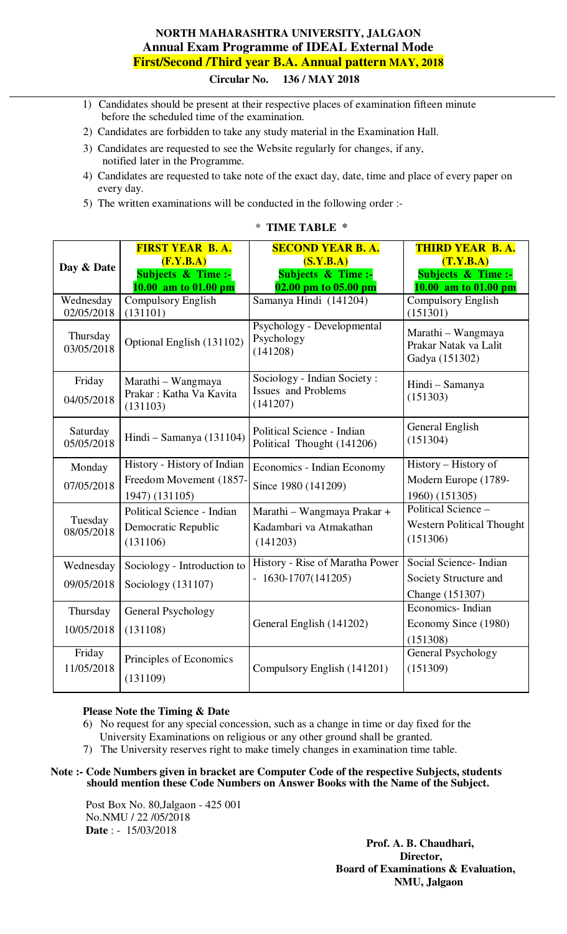# **NORTH MAHARASHTRA UNIVERSITY, JALGAON Annual Exam Programme of IDEAL External Mode First/Second /Third year B.A. Annual pattern MAY, 2018 Circular No. 136 / MAY 2018**

- 1) Candidates should be present at their respective places of examination fifteen minute before the scheduled time of the examination.
- 2) Candidates are forbidden to take any study material in the Examination Hall.
- 3) Candidates are requested to see the Website regularly for changes, if any, notified later in the Programme.
- 4) Candidates are requested to take note of the exact day, date, time and place of every paper on every day.
- 5) The written examinations will be conducted in the following order :-

|                        | <b>FIRST YEAR B.A.</b>                                    | <b>SECOND YEAR B.A.</b>                                               | <b>THIRD YEAR B.A.</b>                                        |
|------------------------|-----------------------------------------------------------|-----------------------------------------------------------------------|---------------------------------------------------------------|
| Day & Date             | (F.Y.B.A)<br>Subjects $\&$ Time :-                        | (S.Y.B.A)<br>Subjects $\&$ Time :-                                    | (T.Y.B.A)<br>Subjects & Time :-                               |
|                        | 10.00 am to 01.00 pm                                      | 02.00 pm to 05.00 pm                                                  | 10.00 am to 01.00 pm                                          |
| Wednesday              | <b>Compulsory English</b>                                 | Samanya Hindi (141204)                                                | <b>Compulsory English</b>                                     |
| 02/05/2018             | (131101)                                                  |                                                                       | (151301)                                                      |
| Thursday<br>03/05/2018 | Optional English (131102)                                 | Psychology - Developmental<br>Psychology<br>(141208)                  | Marathi - Wangmaya<br>Prakar Natak va Lalit<br>Gadya (151302) |
| Friday<br>04/05/2018   | Marathi - Wangmaya<br>Prakar: Katha Va Kavita<br>(131103) | Sociology - Indian Society:<br><b>Issues</b> and Problems<br>(141207) | Hindi - Samanya<br>(151303)                                   |
| Saturday<br>05/05/2018 | Hindi - Samanya (131104)                                  | Political Science - Indian<br>Political Thought (141206)              | General English<br>(151304)                                   |
| Monday                 | History - History of Indian                               | Economics - Indian Economy                                            | History - History of                                          |
| 07/05/2018             | Freedom Movement (1857-                                   | Since 1980 (141209)                                                   | Modern Europe (1789-                                          |
|                        | 1947) (131105)                                            |                                                                       | 1960) (151305)                                                |
| Tuesday                | Political Science - Indian                                | Marathi - Wangmaya Prakar +                                           | Political Science -                                           |
| 08/05/2018             | Democratic Republic                                       | Kadambari va Atmakathan                                               | <b>Western Political Thought</b>                              |
|                        | (131106)                                                  | (141203)                                                              | (151306)                                                      |
| Wednesday              | Sociology - Introduction to                               | History - Rise of Maratha Power                                       | Social Science- Indian                                        |
| 09/05/2018             | Sociology (131107)                                        | $-1630-1707(141205)$                                                  | Society Structure and                                         |
|                        |                                                           |                                                                       | Change (151307)                                               |
| Thursday               | General Psychology                                        |                                                                       | Economics-Indian                                              |
| 10/05/2018             | (131108)                                                  | General English (141202)                                              | Economy Since (1980)                                          |
|                        |                                                           |                                                                       | (151308)                                                      |
| Friday                 | Principles of Economics                                   |                                                                       | General Psychology                                            |
| 11/05/2018             | (131109)                                                  | Compulsory English (141201)                                           | (151309)                                                      |
|                        |                                                           |                                                                       |                                                               |

### \* **TIME TABLE \***

### **Please Note the Timing & Date**

- 6) No request for any special concession, such as a change in time or day fixed for the University Examinations on religious or any other ground shall be granted.
- 7) The University reserves right to make timely changes in examination time table.
- **Note :- Code Numbers given in bracket are Computer Code of the respective Subjects, students should mention these Code Numbers on Answer Books with the Name of the Subject.**

Post Box No. 80,Jalgaon - 425 001 No.NMU / 22 /05/2018 **Date** : - 15/03/2018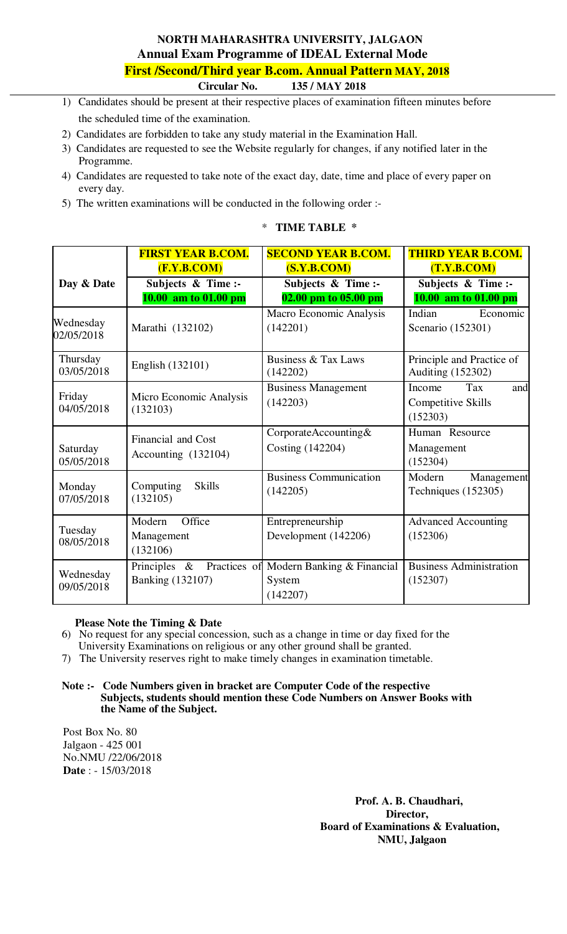# **NORTH MAHARASHTRA UNIVERSITY, JALGAON Annual Exam Programme of IDEAL External Mode First /Second/Third year B.com. Annual Pattern MAY, 2018**

 **Circular No. 135 / MAY 2018** 

- 1) Candidates should be present at their respective places of examination fifteen minutes before the scheduled time of the examination.
- 2) Candidates are forbidden to take any study material in the Examination Hall.
- 3) Candidates are requested to see the Website regularly for changes, if any notified later in the Programme.
- 4) Candidates are requested to take note of the exact day, date, time and place of every paper on every day.
- 5) The written examinations will be conducted in the following order :-

|                         | <b>FIRST YEAR B.COM.</b>                                      | <b>SECOND YEAR B.COM.</b>                        | <b>THIRD YEAR B.COM.</b>                                      |
|-------------------------|---------------------------------------------------------------|--------------------------------------------------|---------------------------------------------------------------|
|                         | (F.Y.B.COM)                                                   | (S.Y.B. COM)                                     | (T.Y.B. COM)                                                  |
| Day & Date              | Subjects & Time :-                                            | Subjects & Time :-                               | Subjects & Time :-                                            |
|                         | 10.00 am to 01.00 pm                                          | 02.00 pm to 05.00 pm                             | 10.00 am to 01.00 pm                                          |
| Wednesday<br>02/05/2018 | Marathi (132102)                                              | Macro Economic Analysis<br>(142201)              | Indian<br>Economic<br>Scenario (152301)                       |
| Thursday<br>03/05/2018  | English (132101)                                              | Business & Tax Laws<br>(142202)                  | Principle and Practice of<br><b>Auditing (152302)</b>         |
| Friday<br>04/05/2018    | Micro Economic Analysis<br>(132103)                           | <b>Business Management</b><br>(142203)           | Tax<br>and<br>Income<br><b>Competitive Skills</b><br>(152303) |
| Saturday<br>05/05/2018  | Financial and Cost<br>Accounting (132104)                     | CorporateAccounting&<br>Costing (142204)         | Human Resource<br>Management<br>(152304)                      |
| Monday<br>07/05/2018    | Computing<br><b>Skills</b><br>(132105)                        | <b>Business Communication</b><br>(142205)        | Modern<br>Management<br>Techniques (152305)                   |
| Tuesday<br>08/05/2018   | Office<br>Modern<br>Management<br>(132106)                    | Entrepreneurship<br>Development (142206)         | <b>Advanced Accounting</b><br>(152306)                        |
| Wednesday<br>09/05/2018 | Principles<br>Practices of<br>$\&$<br><b>Banking (132107)</b> | Modern Banking & Financial<br>System<br>(142207) | <b>Business Administration</b><br>(152307)                    |

## \* **TIME TABLE \***

### **Please Note the Timing & Date**

6) No request for any special concession, such as a change in time or day fixed for the

- University Examinations on religious or any other ground shall be granted.
- 7) The University reserves right to make timely changes in examination timetable.

#### **Note :- Code Numbers given in bracket are Computer Code of the respective Subjects, students should mention these Code Numbers on Answer Books with the Name of the Subject.**

Post Box No. 80 Jalgaon - 425 001 No.NMU /22/06/2018 **Date** : - 15/03/2018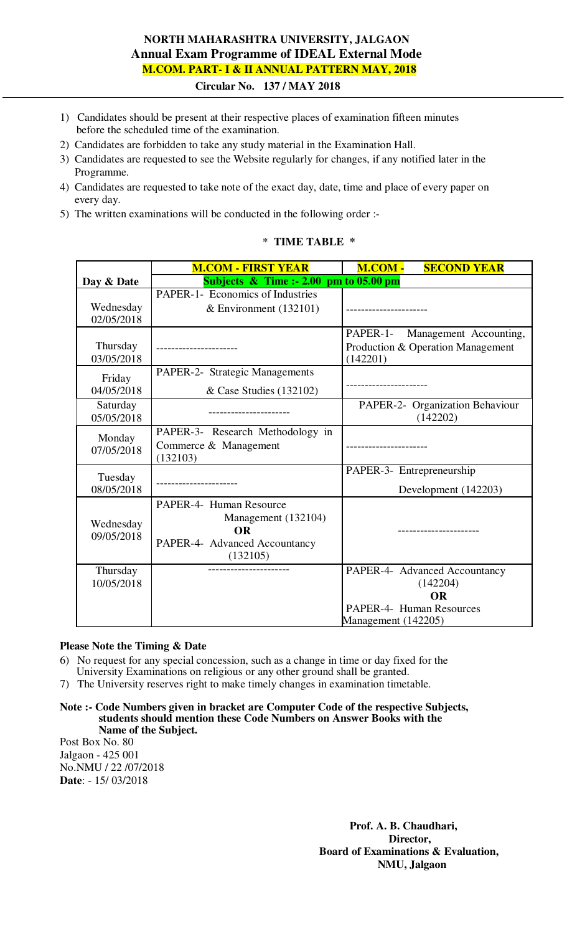# **NORTH MAHARASHTRA UNIVERSITY, JALGAON Annual Exam Programme of IDEAL External Mode M.COM. PART- I & II ANNUAL PATTERN MAY, 2018**

 **Circular No. 137 / MAY 2018** 

- 1) Candidates should be present at their respective places of examination fifteen minutes before the scheduled time of the examination.
- 2) Candidates are forbidden to take any study material in the Examination Hall.
- 3) Candidates are requested to see the Website regularly for changes, if any notified later in the Programme.
- 4) Candidates are requested to take note of the exact day, date, time and place of every paper on every day.
- 5) The written examinations will be conducted in the following order :-

# \* **TIME TABLE \***

|            | <b>M.COM - FIRST YEAR</b>                 | M.COM -<br><b>SECOND YEAR</b>      |
|------------|-------------------------------------------|------------------------------------|
| Day & Date | Subjects $\&$ Time :- 2.00 pm to 05.00 pm |                                    |
|            | PAPER-1- Economics of Industries          |                                    |
| Wednesday  | & Environment $(132101)$                  |                                    |
| 02/05/2018 |                                           |                                    |
|            |                                           | PAPER-1-<br>Management Accounting, |
| Thursday   |                                           | Production & Operation Management  |
| 03/05/2018 |                                           | (142201)                           |
| Friday     | PAPER-2- Strategic Managements            |                                    |
| 04/05/2018 | & Case Studies (132102)                   |                                    |
| Saturday   |                                           | PAPER-2- Organization Behaviour    |
| 05/05/2018 |                                           | (142202)                           |
| Monday     | PAPER-3- Research Methodology in          |                                    |
| 07/05/2018 | Commerce & Management                     |                                    |
|            | (132103)                                  |                                    |
| Tuesday    |                                           | PAPER-3- Entrepreneurship          |
| 08/05/2018 |                                           | Development (142203)               |
|            | PAPER-4- Human Resource                   |                                    |
|            | Management (132104)                       |                                    |
| Wednesday  | <b>OR</b>                                 |                                    |
| 09/05/2018 | PAPER-4- Advanced Accountancy             |                                    |
|            | (132105)                                  |                                    |
| Thursday   |                                           | PAPER-4- Advanced Accountancy      |
| 10/05/2018 |                                           | (142204)                           |
|            |                                           | <b>OR</b>                          |
|            |                                           | PAPER-4- Human Resources           |
|            |                                           | Management (142205)                |

### **Please Note the Timing & Date**

- 6) No request for any special concession, such as a change in time or day fixed for the University Examinations on religious or any other ground shall be granted.
- 7) The University reserves right to make timely changes in examination timetable.
- **Note :- Code Numbers given in bracket are Computer Code of the respective Subjects, students should mention these Code Numbers on Answer Books with the Name of the Subject.**

Post Box No. 80 Jalgaon - 425 001 No.NMU / 22 /07/2018 **Date**: - 15/ 03/2018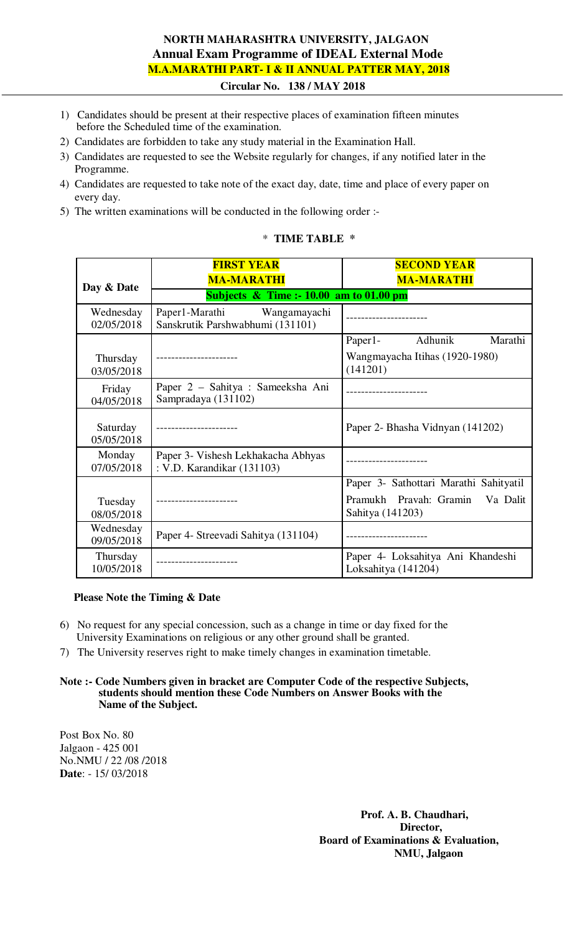# **NORTH MAHARASHTRA UNIVERSITY, JALGAON Annual Exam Programme of IDEAL External Mode M.A.MARATHI PART- I & II ANNUAL PATTER MAY, 2018**

 **Circular No. 138 / MAY 2018**

- 1) Candidates should be present at their respective places of examination fifteen minutes before the Scheduled time of the examination.
- 2) Candidates are forbidden to take any study material in the Examination Hall.
- 3) Candidates are requested to see the Website regularly for changes, if any notified later in the Programme.
- 4) Candidates are requested to take note of the exact day, date, time and place of every paper on every day.
- 5) The written examinations will be conducted in the following order :-

## \* **TIME TABLE \***

|                         | <b>FIRST YEAR</b><br><b>MA-MARATHI</b>                           | <b>SECOND YEAR</b><br><b>MA-MARATHI</b>                  |
|-------------------------|------------------------------------------------------------------|----------------------------------------------------------|
| Day & Date              | Subjects $\&$ Time :- 10.00 am to 01.00 pm                       |                                                          |
| Wednesday<br>02/05/2018 | Paper1-Marathi Wangamayachi<br>Sanskrutik Parshwabhumi (131101)  |                                                          |
|                         |                                                                  | Marathi<br>Adhunik<br>Paper1-                            |
| Thursday<br>03/05/2018  |                                                                  | Wangmayacha Itihas (1920-1980)<br>(141201)               |
| Friday<br>04/05/2018    | Paper 2 – Sahitya : Sameeksha Ani<br>Sampradaya (131102)         |                                                          |
| Saturday<br>05/05/2018  |                                                                  | Paper 2- Bhasha Vidnyan (141202)                         |
| Monday<br>07/05/2018    | Paper 3- Vishesh Lekhakacha Abhyas<br>: V.D. Karandikar (131103) |                                                          |
|                         |                                                                  | Paper 3- Sathottari Marathi Sahityatil                   |
| Tuesday<br>08/05/2018   |                                                                  | Pramukh Pravah: Gramin<br>Va Dalit<br>Sahitya (141203)   |
| Wednesday<br>09/05/2018 | Paper 4- Streevadi Sahitya (131104)                              |                                                          |
| Thursday<br>10/05/2018  |                                                                  | Paper 4- Loksahitya Ani Khandeshi<br>Loksahitya (141204) |

### **Please Note the Timing & Date**

- 6) No request for any special concession, such as a change in time or day fixed for the University Examinations on religious or any other ground shall be granted.
- 7) The University reserves right to make timely changes in examination timetable.

#### **Note :- Code Numbers given in bracket are Computer Code of the respective Subjects, students should mention these Code Numbers on Answer Books with the Name of the Subject.**

Post Box No. 80 Jalgaon - 425 001 No.NMU / 22 /08 /2018 **Date**: - 15/ 03/2018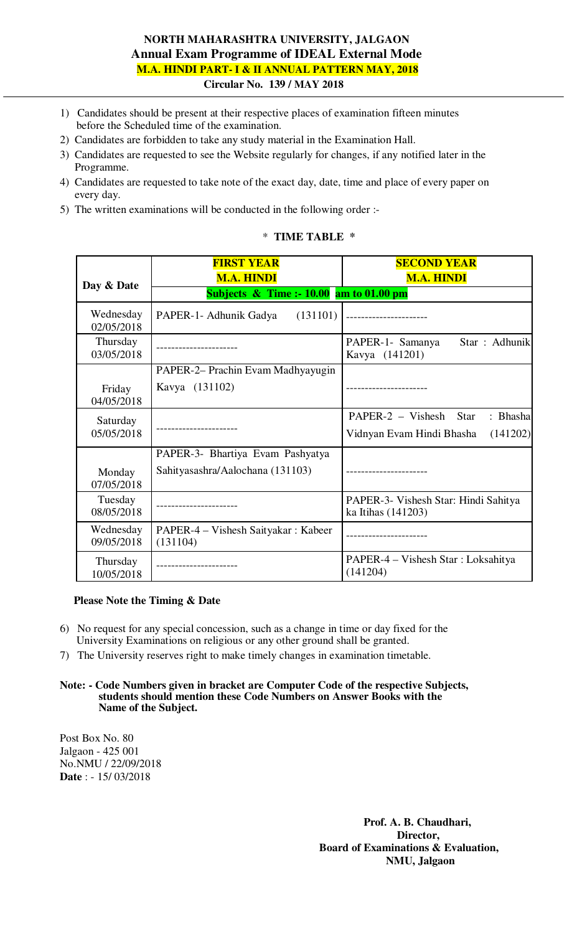## **NORTH MAHARASHTRA UNIVERSITY, JALGAON Annual Exam Programme of IDEAL External Mode M.A. HINDI PART- I & II ANNUAL PATTERN MAY, 2018 Circular No. 139 / MAY 2018**

- 1) Candidates should be present at their respective places of examination fifteen minutes before the Scheduled time of the examination.
- 2) Candidates are forbidden to take any study material in the Examination Hall.
- 3) Candidates are requested to see the Website regularly for changes, if any notified later in the Programme.
- 4) Candidates are requested to take note of the exact day, date, time and place of every paper on every day.
- 5) The written examinations will be conducted in the following order :-

### \* **TIME TABLE \***

|                         | <b>FIRST YEAR</b><br><b>M.A. HINDI</b>                               | <b>SECOND YEAR</b><br><b>M.A. HINDI</b>                                                 |
|-------------------------|----------------------------------------------------------------------|-----------------------------------------------------------------------------------------|
| Day & Date              | Subjects $\&$ Time :- 10.00 am to 01.00 pm                           |                                                                                         |
| Wednesday<br>02/05/2018 | PAPER-1- Adhunik Gadya<br>(131101)                                   |                                                                                         |
| Thursday<br>03/05/2018  |                                                                      | Star: Adhunik<br>PAPER-1- Samanya<br>Kavya (141201)                                     |
| Friday<br>04/05/2018    | PAPER-2- Prachin Evam Madhyayugin<br>Kavya (131102)                  |                                                                                         |
| Saturday<br>05/05/2018  |                                                                      | $PAPER-2 - Vishesh$<br>: Bhasha<br><b>Star</b><br>Vidnyan Evam Hindi Bhasha<br>(141202) |
| Monday<br>07/05/2018    | PAPER-3- Bhartiya Evam Pashyatya<br>Sahityasashra/Aalochana (131103) |                                                                                         |
| Tuesday<br>08/05/2018   |                                                                      | PAPER-3- Vishesh Star: Hindi Sahitya<br>ka Itihas (141203)                              |
| Wednesday<br>09/05/2018 | PAPER-4 – Vishesh Saityakar: Kabeer<br>(131104)                      |                                                                                         |
| Thursday<br>10/05/2018  | ---------------                                                      | PAPER-4 – Vishesh Star: Loksahitya<br>(141204)                                          |

### **Please Note the Timing & Date**

- 6) No request for any special concession, such as a change in time or day fixed for the University Examinations on religious or any other ground shall be granted.
- 7) The University reserves right to make timely changes in examination timetable.

#### **Note: - Code Numbers given in bracket are Computer Code of the respective Subjects, students should mention these Code Numbers on Answer Books with the Name of the Subject.**

Post Box No. 80 Jalgaon - 425 001 No.NMU / 22/09/2018 **Date** : - 15/ 03/2018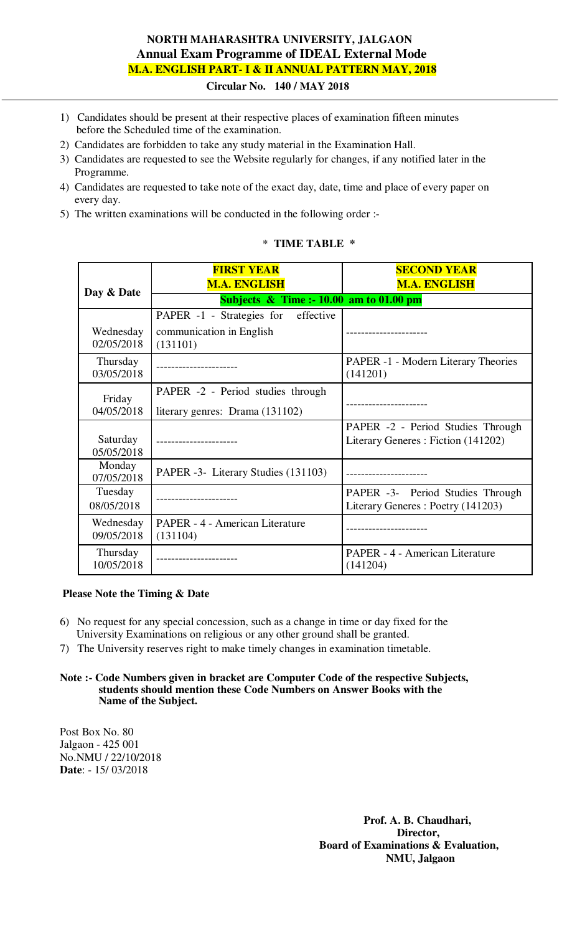# **NORTH MAHARASHTRA UNIVERSITY, JALGAON Annual Exam Programme of IDEAL External Mode M.A. ENGLISH PART- I & II ANNUAL PATTERN MAY, 2018**

### **Circular No. 140 / MAY 2018**

- 1) Candidates should be present at their respective places of examination fifteen minutes before the Scheduled time of the examination.
- 2) Candidates are forbidden to take any study material in the Examination Hall.
- 3) Candidates are requested to see the Website regularly for changes, if any notified later in the Programme.
- 4) Candidates are requested to take note of the exact day, date, time and place of every paper on every day.
- 5) The written examinations will be conducted in the following order :-

## \* **TIME TABLE \***

|                                                          | <b>FIRST YEAR</b><br><b>M.A. ENGLISH</b>    | <b>SECOND YEAR</b><br><b>M.A. ENGLISH</b>                               |
|----------------------------------------------------------|---------------------------------------------|-------------------------------------------------------------------------|
| Day & Date<br>Subjects $\&$ Time :- 10.00 am to 01.00 pm |                                             |                                                                         |
|                                                          | PAPER -1 - Strategies for<br>effective      |                                                                         |
| Wednesday<br>02/05/2018                                  | communication in English<br>(131101)        |                                                                         |
| Thursday<br>03/05/2018                                   |                                             | PAPER -1 - Modern Literary Theories<br>(141201)                         |
| Friday                                                   | PAPER -2 - Period studies through           |                                                                         |
| 04/05/2018                                               | literary genres: Drama (131102)             |                                                                         |
| Saturday<br>05/05/2018                                   |                                             | PAPER -2 - Period Studies Through<br>Literary Generes: Fiction (141202) |
| Monday<br>07/05/2018                                     | PAPER -3- Literary Studies (131103)         |                                                                         |
| Tuesday<br>08/05/2018                                    |                                             | PAPER -3- Period Studies Through<br>Literary Generes: Poetry (141203)   |
| Wednesday<br>09/05/2018                                  | PAPER - 4 - American Literature<br>(131104) |                                                                         |
| Thursday<br>10/05/2018                                   |                                             | PAPER - 4 - American Literature<br>(141204)                             |

## **Please Note the Timing & Date**

- 6) No request for any special concession, such as a change in time or day fixed for the University Examinations on religious or any other ground shall be granted.
- 7) The University reserves right to make timely changes in examination timetable.

#### **Note :- Code Numbers given in bracket are Computer Code of the respective Subjects, students should mention these Code Numbers on Answer Books with the Name of the Subject.**

Post Box No. 80 Jalgaon - 425 001 No.NMU / 22/10/2018 **Date**: - 15/ 03/2018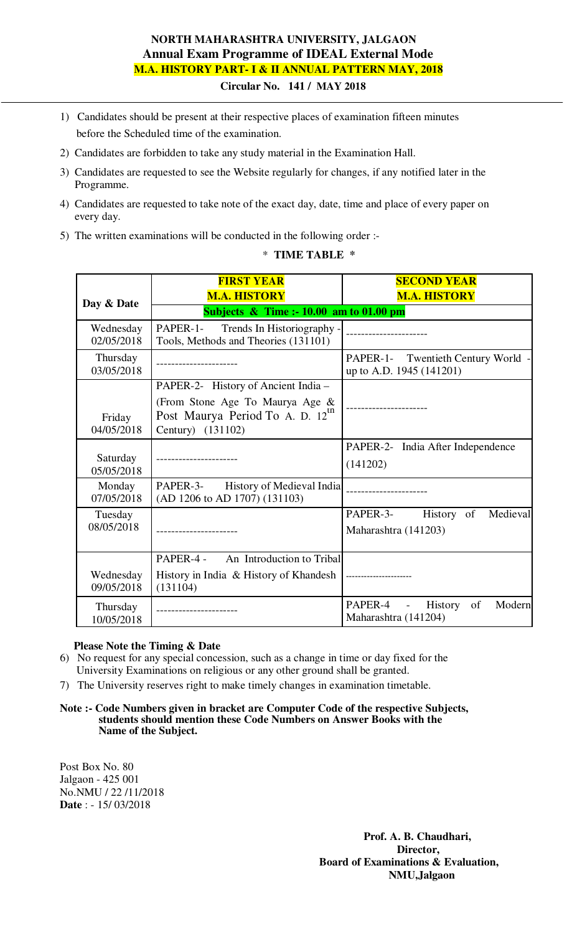# **NORTH MAHARASHTRA UNIVERSITY, JALGAON Annual Exam Programme of IDEAL External Mode M.A. HISTORY PART- I & II ANNUAL PATTERN MAY, 2018**

 **Circular No. 141 / MAY 2018**

- 1) Candidates should be present at their respective places of examination fifteen minutes before the Scheduled time of the examination.
- 2) Candidates are forbidden to take any study material in the Examination Hall.
- 3) Candidates are requested to see the Website regularly for changes, if any notified later in the Programme.
- 4) Candidates are requested to take note of the exact day, date, time and place of every paper on every day.
- 5) The written examinations will be conducted in the following order :-

## \* **TIME TABLE \***

|                                      | <b>FIRST YEAR</b><br><b>M.A. HISTORY</b>                                                                               | <b>SECOND YEAR</b><br><b>M.A. HISTORY</b>                      |
|--------------------------------------|------------------------------------------------------------------------------------------------------------------------|----------------------------------------------------------------|
| Day & Date                           | Subjects $\&$ Time :- 10.00 am to 01.00 pm                                                                             |                                                                |
| Wednesday<br>02/05/2018              | PAPER-1-<br>Trends In Historiography -<br>Tools, Methods and Theories (131101)                                         |                                                                |
| Thursday<br>03/05/2018               |                                                                                                                        | PAPER-1- Twentieth Century World -<br>up to A.D. 1945 (141201) |
| Friday                               | PAPER-2- History of Ancient India -<br>(From Stone Age To Maurya Age &<br>Post Maurya Period To A. D. 12 <sup>th</sup> |                                                                |
| 04/05/2018<br>Saturday<br>05/05/2018 | Century) (131102)                                                                                                      | PAPER-2- India After Independence<br>(141202)                  |
| Monday<br>07/05/2018                 | PAPER-3- History of Medieval India<br>(AD 1206 to AD 1707) (131103)                                                    |                                                                |
| Tuesday<br>08/05/2018                |                                                                                                                        | PAPER-3-<br>Medieval<br>History of<br>Maharashtra (141203)     |
| Wednesday<br>09/05/2018              | An Introduction to Tribal<br>PAPER-4 -<br>(131104)                                                                     |                                                                |
| Thursday<br>10/05/2018               | ---------------                                                                                                        | PAPER-4 -<br>History<br>of<br>Modern<br>Maharashtra (141204)   |

### **Please Note the Timing & Date**

- 6) No request for any special concession, such as a change in time or day fixed for the University Examinations on religious or any other ground shall be granted.
- 7) The University reserves right to make timely changes in examination timetable.

#### **Note :- Code Numbers given in bracket are Computer Code of the respective Subjects, students should mention these Code Numbers on Answer Books with the Name of the Subject.**

Post Box No. 80 Jalgaon - 425 001 No.NMU / 22 /11/2018 **Date** : - 15/ 03/2018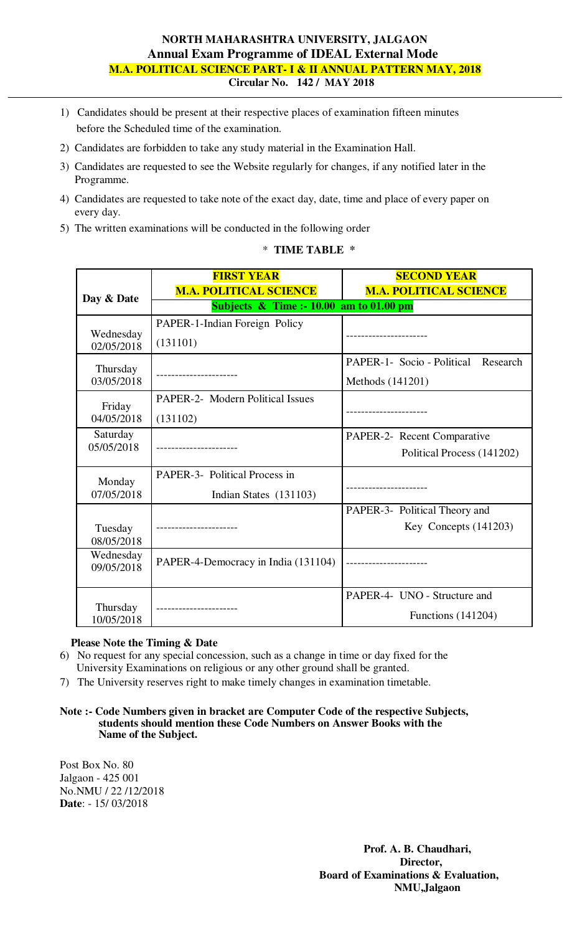## **NORTH MAHARASHTRA UNIVERSITY, JALGAON Annual Exam Programme of IDEAL External Mode M.A. POLITICAL SCIENCE PART- I & II ANNUAL PATTERN MAY, 2018 Circular No. 142 / MAY 2018**

- 1) Candidates should be present at their respective places of examination fifteen minutes before the Scheduled time of the examination.
- 2) Candidates are forbidden to take any study material in the Examination Hall.
- 3) Candidates are requested to see the Website regularly for changes, if any notified later in the Programme.
- 4) Candidates are requested to take note of the exact day, date, time and place of every paper on every day.
- 5) The written examinations will be conducted in the following order

|                         | <b>FIRST YEAR</b>                          | <b>SECOND YEAR</b>                  |
|-------------------------|--------------------------------------------|-------------------------------------|
| Day & Date              | <b>M.A. POLITICAL SCIENCE</b>              | <b>M.A. POLITICAL SCIENCE</b>       |
|                         | Subjects $\&$ Time :- 10.00 am to 01.00 pm |                                     |
|                         | PAPER-1-Indian Foreign Policy              |                                     |
| Wednesday<br>02/05/2018 | (131101)                                   |                                     |
| Thursday                |                                            | PAPER-1- Socio - Political Research |
| 03/05/2018              |                                            | Methods (141201)                    |
| Friday                  | <b>PAPER-2-</b> Modern Political Issues    |                                     |
| 04/05/2018              | (131102)                                   |                                     |
| Saturday                |                                            | PAPER-2- Recent Comparative         |
| 05/05/2018              |                                            | Political Process (141202)          |
| Monday                  | <b>PAPER-3-</b> Political Process in       |                                     |
| 07/05/2018              | Indian States (131103)                     |                                     |
|                         |                                            | PAPER-3- Political Theory and       |
| Tuesday                 |                                            | Key Concepts $(141203)$             |
| 08/05/2018              |                                            |                                     |
| Wednesday               | PAPER-4-Democracy in India (131104)        |                                     |
| 09/05/2018              |                                            |                                     |
|                         |                                            | PAPER-4- UNO - Structure and        |
| Thursday                | ------------------                         | Functions $(141204)$                |
| 10/05/2018              |                                            |                                     |

## \* **TIME TABLE \***

### **Please Note the Timing & Date**

- 6) No request for any special concession, such as a change in time or day fixed for the University Examinations on religious or any other ground shall be granted.
- 7) The University reserves right to make timely changes in examination timetable.

#### **Note :- Code Numbers given in bracket are Computer Code of the respective Subjects, students should mention these Code Numbers on Answer Books with the Name of the Subject.**

Post Box No. 80 Jalgaon - 425 001 No.NMU / 22 /12/2018 **Date**: - 15/ 03/2018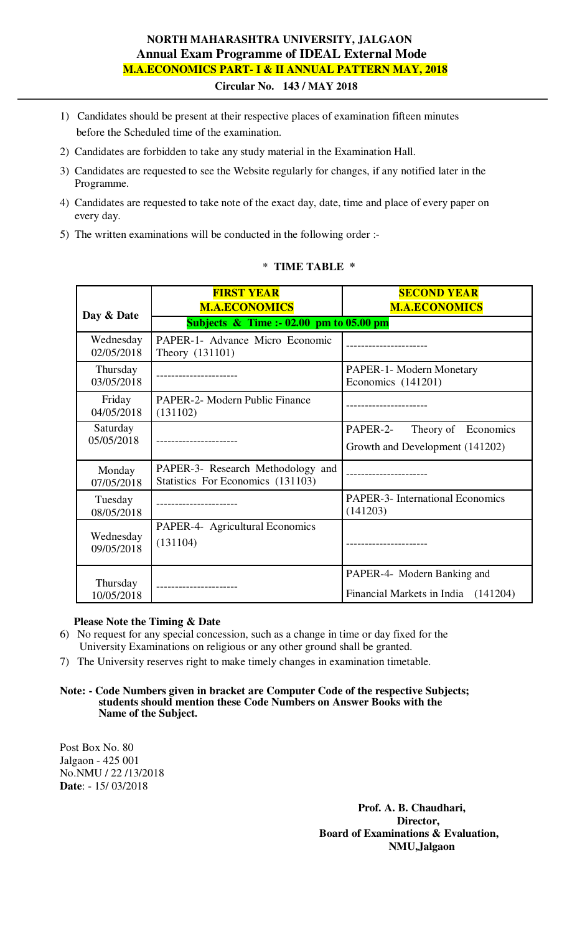# **NORTH MAHARASHTRA UNIVERSITY, JALGAON Annual Exam Programme of IDEAL External Mode M.A.ECONOMICS PART- I & II ANNUAL PATTERN MAY, 2018**

 **Circular No. 143 / MAY 2018** 

- 1) Candidates should be present at their respective places of examination fifteen minutes before the Scheduled time of the examination.
- 2) Candidates are forbidden to take any study material in the Examination Hall.
- 3) Candidates are requested to see the Website regularly for changes, if any notified later in the Programme.
- 4) Candidates are requested to take note of the exact day, date, time and place of every paper on every day.
- 5) The written examinations will be conducted in the following order :-

|                         | <b>FIRST YEAR</b><br><b>M.A.ECONOMICS</b>                              | <b>SECOND YEAR</b><br><b>M.A.ECONOMICS</b>                         |
|-------------------------|------------------------------------------------------------------------|--------------------------------------------------------------------|
| Day & Date              | Subjects $\&$ Time :- 02.00 pm to 05.00 pm                             |                                                                    |
| Wednesday<br>02/05/2018 | PAPER-1- Advance Micro Economic<br>Theory (131101)                     |                                                                    |
| Thursday<br>03/05/2018  |                                                                        | PAPER-1- Modern Monetary<br>Economics (141201)                     |
| Friday<br>04/05/2018    | <b>PAPER-2- Modern Public Finance</b><br>(131102)                      |                                                                    |
| Saturday<br>05/05/2018  | ----------------                                                       | PAPER-2-<br>Theory of Economics<br>Growth and Development (141202) |
| Monday<br>07/05/2018    | PAPER-3- Research Methodology and<br>Statistics For Economics (131103) |                                                                    |
| Tuesday<br>08/05/2018   | -------------                                                          | <b>PAPER-3-</b> International Economics<br>(141203)                |
| Wednesday<br>09/05/2018 | PAPER-4- Agricultural Economics<br>(131104)                            |                                                                    |
| Thursday<br>10/05/2018  |                                                                        | PAPER-4- Modern Banking and<br>Financial Markets in India (141204) |

#### \* **TIME TABLE \***

### **Please Note the Timing & Date**

- 6) No request for any special concession, such as a change in time or day fixed for the University Examinations on religious or any other ground shall be granted.
- 7) The University reserves right to make timely changes in examination timetable.

#### **Note: - Code Numbers given in bracket are Computer Code of the respective Subjects; students should mention these Code Numbers on Answer Books with the Name of the Subject.**

Post Box No. 80 Jalgaon - 425 001 No.NMU / 22 /13/2018 **Date**: - 15/ 03/2018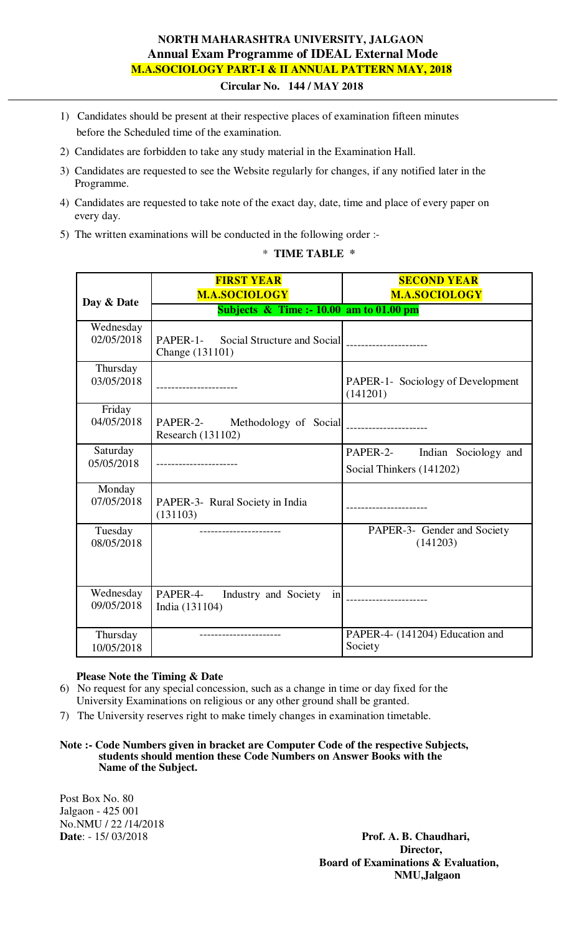# **NORTH MAHARASHTRA UNIVERSITY, JALGAON Annual Exam Programme of IDEAL External Mode M.A.SOCIOLOGY PART-I & II ANNUAL PATTERN MAY, 2018**

 **Circular No. 144 / MAY 2018** 

- 1) Candidates should be present at their respective places of examination fifteen minutes before the Scheduled time of the examination.
- 2) Candidates are forbidden to take any study material in the Examination Hall.
- 3) Candidates are requested to see the Website regularly for changes, if any notified later in the Programme.
- 4) Candidates are requested to take note of the exact day, date, time and place of every paper on every day.
- 5) The written examinations will be conducted in the following order :-

\* **TIME TABLE \*** 

|                        | <b>FIRST YEAR</b>                                       | <b>SECOND YEAR</b>                            |
|------------------------|---------------------------------------------------------|-----------------------------------------------|
| Day & Date             | <b>M.A.SOCIOLOGY</b>                                    | <b>M.A.SOCIOLOGY</b>                          |
|                        | Subjects $\&$ Time :- 10.00 am to 01.00 pm              |                                               |
| Wednesday              |                                                         |                                               |
| 02/05/2018             | PAPER-1- Social Structure and Social<br>Change (131101) |                                               |
|                        |                                                         |                                               |
| Thursday<br>03/05/2018 |                                                         |                                               |
|                        |                                                         | PAPER-1- Sociology of Development<br>(141201) |
| Friday                 |                                                         |                                               |
| 04/05/2018             |                                                         |                                               |
|                        | Research (131102)                                       |                                               |
| Saturday               |                                                         | PAPER-2- Indian Sociology and                 |
| 05/05/2018             |                                                         | Social Thinkers (141202)                      |
| Monday                 |                                                         |                                               |
| 07/05/2018             | PAPER-3- Rural Society in India                         | -------------------                           |
|                        | (131103)                                                |                                               |
| Tuesday                |                                                         | PAPER-3- Gender and Society                   |
| 08/05/2018             |                                                         | (141203)                                      |
|                        |                                                         |                                               |
|                        |                                                         |                                               |
| Wednesday              | PAPER-4-<br>Industry and Society<br>in                  |                                               |
| 09/05/2018             | India (131104)                                          |                                               |
|                        |                                                         |                                               |
| Thursday               |                                                         | PAPER-4- (141204) Education and               |
| 10/05/2018             |                                                         | Society                                       |

## **Please Note the Timing & Date**

- 6) No request for any special concession, such as a change in time or day fixed for the University Examinations on religious or any other ground shall be granted.
- 7) The University reserves right to make timely changes in examination timetable.
- **Note :- Code Numbers given in bracket are Computer Code of the respective Subjects, students should mention these Code Numbers on Answer Books with the Name of the Subject.**

Post Box No. 80 Jalgaon - 425 001 No.NMU / 22 /14/2018<br>Date: - 15/ 03/2018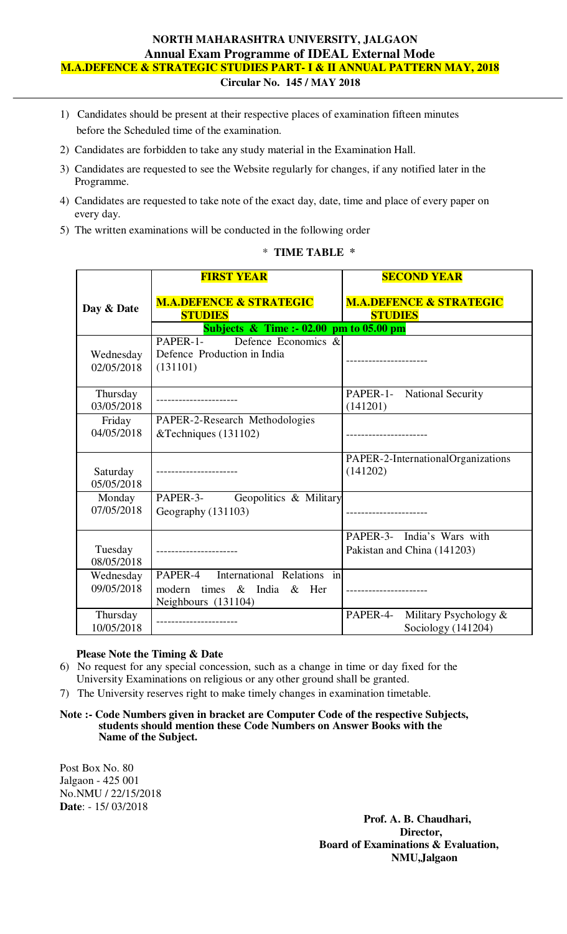# **NORTH MAHARASHTRA UNIVERSITY, JALGAON Annual Exam Programme of IDEAL External Mode M.A.DEFENCE & STRATEGIC STUDIES PART- I & II ANNUAL PATTERN MAY, 2018**

- **Circular No. 145 / MAY 2018**
- 1) Candidates should be present at their respective places of examination fifteen minutes before the Scheduled time of the examination.
- 2) Candidates are forbidden to take any study material in the Examination Hall.
- 3) Candidates are requested to see the Website regularly for changes, if any notified later in the Programme.
- 4) Candidates are requested to take note of the exact day, date, time and place of every paper on every day.
- 5) The written examinations will be conducted in the following order

#### \* **TIME TABLE \***

|                         | <b>FIRST YEAR</b>                                                                                | <b>SECOND YEAR</b>                                        |
|-------------------------|--------------------------------------------------------------------------------------------------|-----------------------------------------------------------|
| Day & Date              | <b>M.A.DEFENCE &amp; STRATEGIC</b><br><b>STUDIES</b>                                             | <b>M.A.DEFENCE &amp; STRATEGIC</b><br><b>STUDIES</b>      |
|                         | Subjects $\&$ Time :- 02.00 pm to 05.00 pm                                                       |                                                           |
| Wednesday<br>02/05/2018 | PAPER-1-<br>Defence Economics &<br>Defence Production in India<br>(131101)                       |                                                           |
| Thursday<br>03/05/2018  |                                                                                                  | PAPER-1- National Security<br>(141201)                    |
| Friday<br>04/05/2018    | PAPER-2-Research Methodologies<br>&Techniques (131102)                                           | ------------------                                        |
| Saturday<br>05/05/2018  |                                                                                                  | PAPER-2-InternationalOrganizations<br>(141202)            |
| Monday<br>07/05/2018    | PAPER-3-<br>Geopolitics & Military<br>Geography (131103)                                         |                                                           |
| Tuesday<br>08/05/2018   |                                                                                                  | PAPER-3- India's Wars with<br>Pakistan and China (141203) |
| Wednesday<br>09/05/2018 | International Relations in<br>PAPER-4<br>& India & Her<br>modern<br>times<br>Neighbours (131104) |                                                           |
| Thursday<br>10/05/2018  |                                                                                                  | Military Psychology &<br>PAPER-4-<br>Sociology (141204)   |

### **Please Note the Timing & Date**

- 6) No request for any special concession, such as a change in time or day fixed for the University Examinations on religious or any other ground shall be granted.
- 7) The University reserves right to make timely changes in examination timetable.
- **Note :- Code Numbers given in bracket are Computer Code of the respective Subjects, students should mention these Code Numbers on Answer Books with the Name of the Subject.**

Post Box No. 80 Jalgaon - 425 001 No.NMU / 22/15/2018 **Date**: - 15/ 03/2018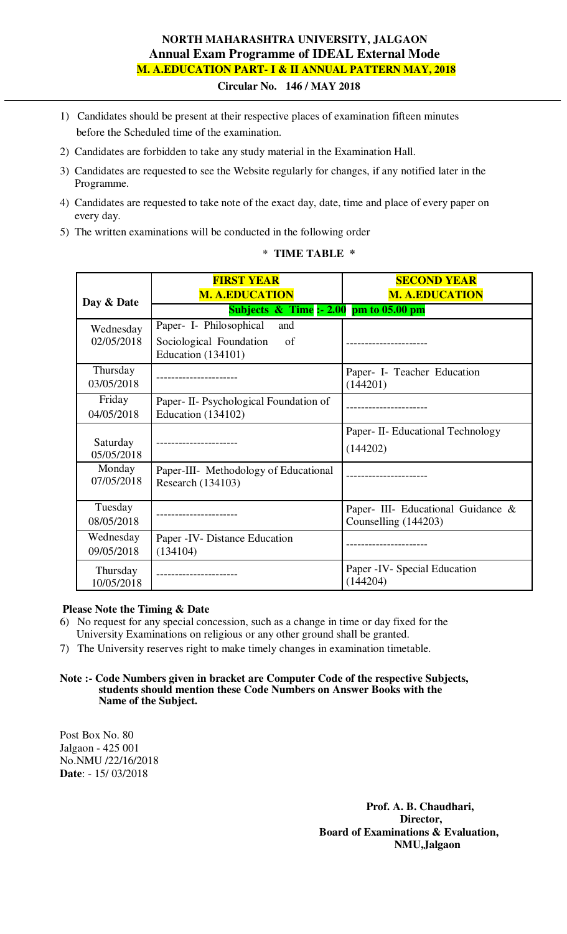# **NORTH MAHARASHTRA UNIVERSITY, JALGAON Annual Exam Programme of IDEAL External Mode M. A.EDUCATION PART- I & II ANNUAL PATTERN MAY, 2018**

 **Circular No. 146 / MAY 2018** 

- 1) Candidates should be present at their respective places of examination fifteen minutes before the Scheduled time of the examination.
- 2) Candidates are forbidden to take any study material in the Examination Hall.
- 3) Candidates are requested to see the Website regularly for changes, if any notified later in the Programme.
- 4) Candidates are requested to take note of the exact day, date, time and place of every paper on every day.
- 5) The written examinations will be conducted in the following order

|                         | <b>FIRST YEAR</b><br><b>M. A.EDUCATION</b>                                                   | <b>SECOND YEAR</b><br><b>M. A.EDUCATION</b>                |
|-------------------------|----------------------------------------------------------------------------------------------|------------------------------------------------------------|
| Day & Date              | Subjects $\&$ Time :- 2.00 pm to 05.00 pm                                                    |                                                            |
| Wednesday<br>02/05/2018 | Paper- I- Philosophical<br>and<br>Sociological Foundation<br>of<br><b>Education</b> (134101) |                                                            |
| Thursday<br>03/05/2018  |                                                                                              | Paper- I- Teacher Education<br>(144201)                    |
| Friday<br>04/05/2018    | Paper - II - Psychological Foundation of<br>Education $(134102)$                             |                                                            |
| Saturday<br>05/05/2018  |                                                                                              | Paper- II- Educational Technology<br>(144202)              |
| Monday<br>07/05/2018    | Paper-III- Methodology of Educational<br>Research (134103)                                   |                                                            |
| Tuesday<br>08/05/2018   |                                                                                              | Paper- III- Educational Guidance &<br>Counselling (144203) |
| Wednesday<br>09/05/2018 | Paper - IV - Distance Education<br>(134104)                                                  |                                                            |
| Thursday<br>10/05/2018  | ------------                                                                                 | Paper - IV - Special Education<br>(144204)                 |

#### \* **TIME TABLE \***

## **Please Note the Timing & Date**

- 6) No request for any special concession, such as a change in time or day fixed for the University Examinations on religious or any other ground shall be granted.
- 7) The University reserves right to make timely changes in examination timetable.

**Note :- Code Numbers given in bracket are Computer Code of the respective Subjects, students should mention these Code Numbers on Answer Books with the Name of the Subject.** 

Post Box No. 80 Jalgaon - 425 001 No.NMU /22/16/2018 **Date**: - 15/ 03/2018